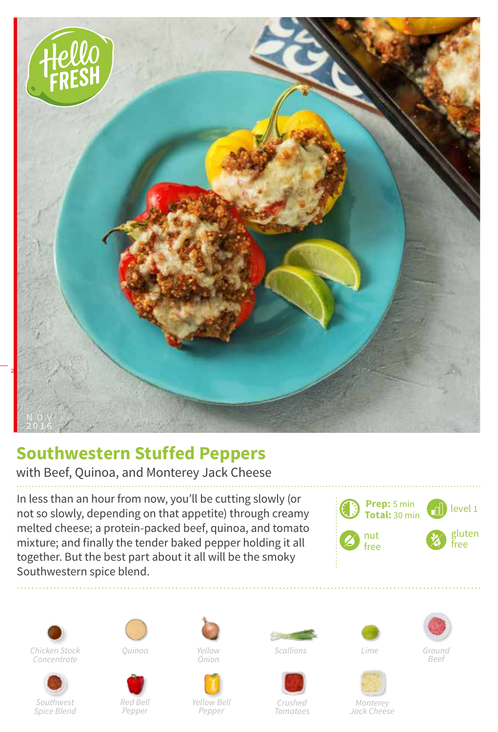

## **Southwestern Stuffed Peppers**

with Beef, Quinoa, and Monterey Jack Cheese

In less than an hour from now, you'll be cutting slowly (or not so slowly, depending on that appetite) through creamy melted cheese; a protein-packed beef, quinoa, and tomato mixture; and finally the tender baked pepper holding it all together. But the best part about it all will be the smoky Southwestern spice blend.









*Red Bell Pepper*

*Onion*



*Yellow Bell Pepper*



*Crushed Tomatoes*





*Ground Beef*

*Monterey Jack Cheese*